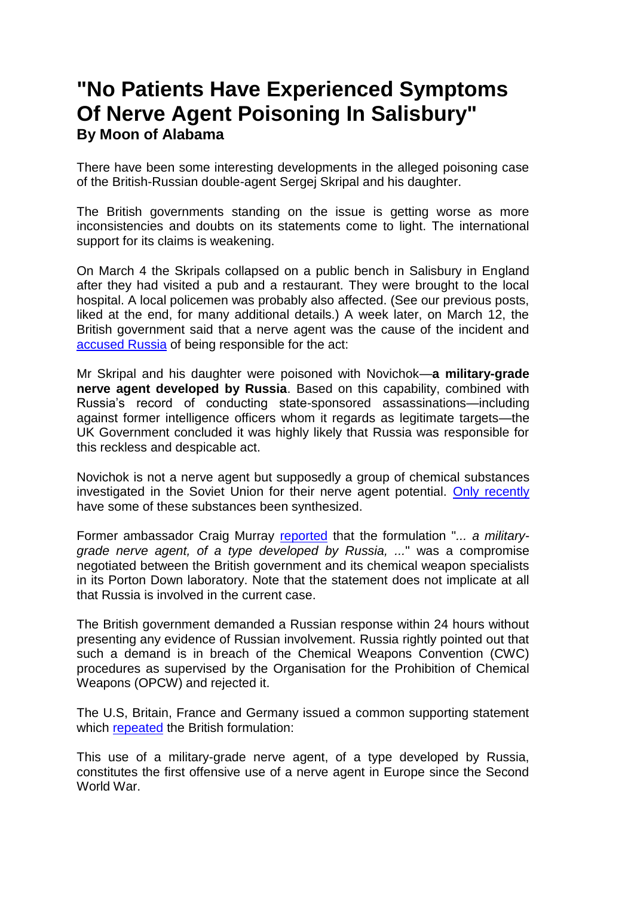## **"No Patients Have Experienced Symptoms Of Nerve Agent Poisoning In Salisbury" By Moon of Alabama**

There have been some interesting developments in the alleged poisoning case of the British-Russian double-agent Sergej Skripal and his daughter.

The British governments standing on the issue is getting worse as more inconsistencies and doubts on its statements come to light. The international support for its claims is weakening.

On March 4 the Skripals collapsed on a public bench in Salisbury in England after they had visited a pub and a restaurant. They were brought to the local hospital. A local policemen was probably also affected. (See our previous posts, liked at the end, for many additional details.) A week later, on March 12, the British government said that a nerve agent was the cause of the incident and [accused Russia](https://hansard.parliament.uk/Commons/2018-03-14/debates/071C37BB-DF8F-4836-88CA-66AB74369BC1/SalisburyIncidentFurtherUpdate#debate-413040) of being responsible for the act:

Mr Skripal and his daughter were poisoned with Novichok—**a military-grade nerve agent developed by Russia**. Based on this capability, combined with Russia's record of conducting state-sponsored assassinations—including against former intelligence officers whom it regards as legitimate targets—the UK Government concluded it was highly likely that Russia was responsible for this reckless and despicable act.

Novichok is not a nerve agent but supposedly a group of chemical substances investigated in the Soviet Union for their nerve agent potential. [Only recently](http://www.spectroscopynow.com/details/ezine/1591ca249b2/Iranian-chemists-identify-Russian-chemical-warfare-agents.html?tzcheck=1,1,1,1,1&&tzcheck=1&tzcheck=1) have some of these substances been synthesized.

Former ambassador Craig Murray [reported](https://www.craigmurray.org.uk/archives/2018/03/of-a-type-developed-by-liars/) that the formulation "*... a militarygrade nerve agent, of a type developed by Russia, ...*" was a compromise negotiated between the British government and its chemical weapon specialists in its Porton Down laboratory. Note that the statement does not implicate at all that Russia is involved in the current case.

The British government demanded a Russian response within 24 hours without presenting any evidence of Russian involvement. Russia rightly pointed out that such a demand is in breach of the Chemical Weapons Convention (CWC) procedures as supervised by the Organisation for the Prohibition of Chemical Weapons (OPCW) and rejected it.

The U.S, Britain, France and Germany issued a common supporting statement which [repeated](https://www.vox.com/2018/3/15/17124062/usa-russia-uk-france-germany-statement-full-text) the British formulation:

This use of a military-grade nerve agent, of a type developed by Russia, constitutes the first offensive use of a nerve agent in Europe since the Second World War.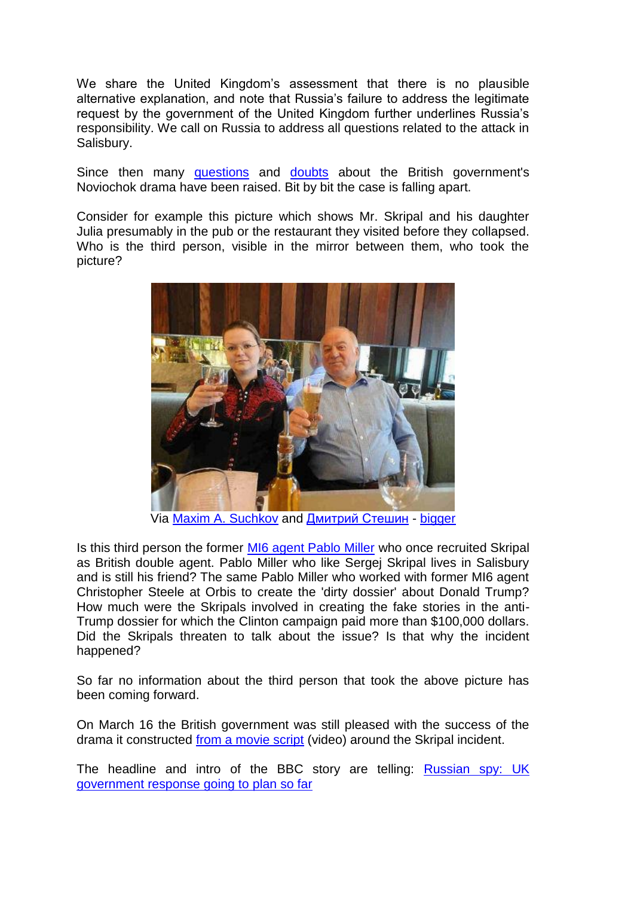We share the United Kingdom's assessment that there is no plausible alternative explanation, and note that Russia's failure to address the legitimate request by the government of the United Kingdom further underlines Russia's responsibility. We call on Russia to address all questions related to the attack in Salisbury.

Since then many [questions](http://www.moonofalabama.org/2018/03/theresa-mays-novichok-claims-fall-apart.html) and [doubts](http://www.moonofalabama.org/2018/03/governments-decree-truth-about-skripal-dissenters-will-be-punished.html) about the British government's Noviochok drama have been raised. Bit by bit the case is falling apart.

Consider for example this picture which shows Mr. Skripal and his daughter Julia presumably in the pub or the restaurant they visited before they collapsed. Who is the third person, visible in the mirror between them, who took the picture?



Via [Maxim A. Suchkov](https://twitter.com/MSuchkov_ALM/status/975069733904109568) and [Дмитрий Стешин](https://twitter.com/D_Steshin/status/974540642268295168) - [bigger](http://www.moonofalabama.org/images6/skripalspub.jpg)

Is this third person the former [MI6 agent Pablo Miller](http://www.moonofalabama.org/2018/03/spy-posions-spy-and-the-anti-trump-campaign.html) who once recruited Skripal as British double agent. Pablo Miller who like Sergej Skripal lives in Salisbury and is still his friend? The same Pablo Miller who worked with former MI6 agent Christopher Steele at Orbis to create the 'dirty dossier' about Donald Trump? How much were the Skripals involved in creating the fake stories in the anti-Trump dossier for which the Clinton campaign paid more than \$100,000 dollars. Did the Skripals threaten to talk about the issue? Is that why the incident happened?

So far no information about the third person that took the above picture has been coming forward.

On March 16 the British government was still pleased with the success of the drama it constructed [from a movie script](http://www.moonofalabama.org/images6/NovichockTV.mp4) (video) around the Skripal incident.

The headline and intro of the BBC story are telling: **Russian spy: UK** [government response going to plan so far](http://www.bbc.com/news/uk-politics-43431636)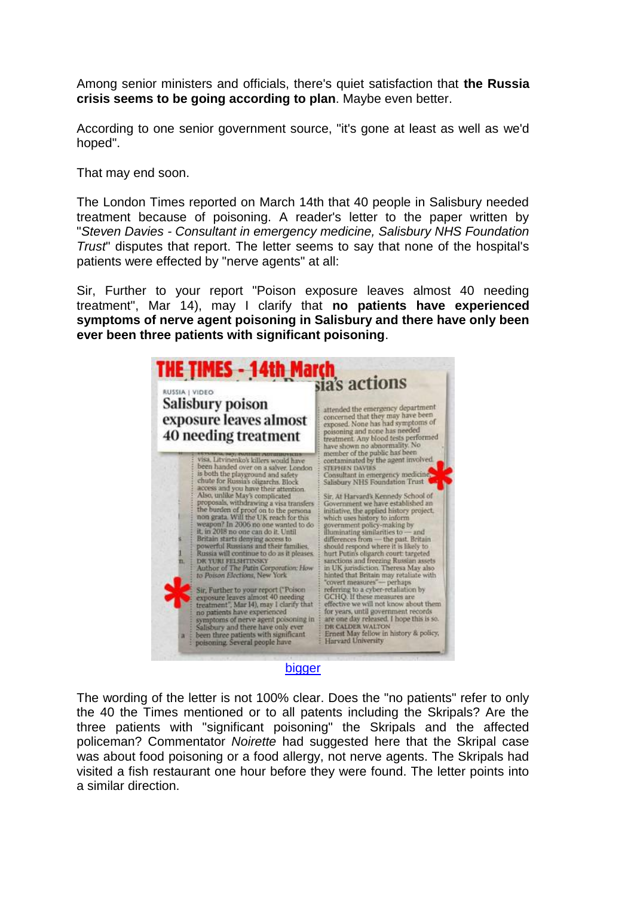Among senior ministers and officials, there's quiet satisfaction that **the Russia crisis seems to be going according to plan**. Maybe even better.

According to one senior government source, "it's gone at least as well as we'd hoped".

That may end soon.

The London Times reported on March 14th that 40 people in Salisbury needed treatment because of poisoning. A reader's letter to the paper written by "*Steven Davies - Consultant in emergency medicine, Salisbury NHS Foundation Trust*" disputes that report. The letter seems to say that none of the hospital's patients were effected by "nerve agents" at all:

Sir, Further to your report "Poison exposure leaves almost 40 needing treatment", Mar 14), may I clarify that **no patients have experienced symptoms of nerve agent poisoning in Salisbury and there have only been ever been three patients with significant poisoning**.



[bigger](http://www.moonofalabama.org/images6/salisburytimesletter.jpg)

The wording of the letter is not 100% clear. Does the "no patients" refer to only the 40 the Times mentioned or to all patents including the Skripals? Are the three patients with "significant poisoning" the Skripals and the affected policeman? Commentator *Noirette* had suggested here that the Skripal case was about food poisoning or a food allergy, not nerve agents. The Skripals had visited a fish restaurant one hour before they were found. The letter points into a similar direction.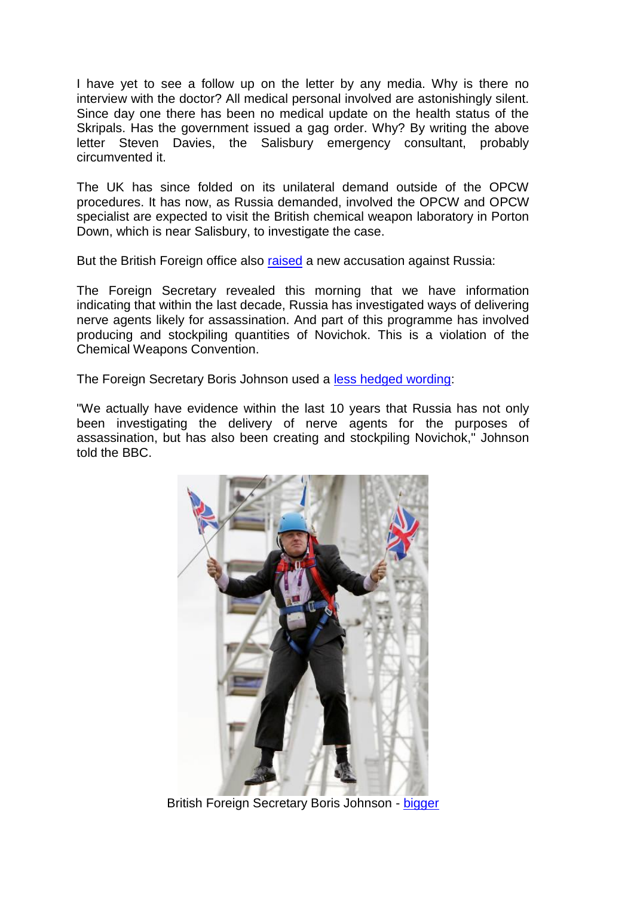I have yet to see a follow up on the letter by any media. Why is there no interview with the doctor? All medical personal involved are astonishingly silent. Since day one there has been no medical update on the health status of the Skripals. Has the government issued a gag order. Why? By writing the above letter Steven Davies, the Salisbury emergency consultant, probably circumvented it.

The UK has since folded on its unilateral demand outside of the OPCW procedures. It has now, as Russia demanded, involved the OPCW and OPCW specialist are expected to visit the British chemical weapon laboratory in Porton Down, which is near Salisbury, to investigate the case.

But the British Foreign office also [raised](https://www.gov.uk/government/news/investigators-from-chemical-weapons-watchdog-to-arrive-in-uk) a new accusation against Russia:

The Foreign Secretary revealed this morning that we have information indicating that within the last decade, Russia has investigated ways of delivering nerve agents likely for assassination. And part of this programme has involved producing and stockpiling quantities of Novichok. This is a violation of the Chemical Weapons Convention.

The Foreign Secretary Boris Johnson used a [less hedged wording:](https://uk.news.yahoo.com/britain-accuses-russia-secretly-stockpiling-deadly-nerve-agent-110002204.html)

"We actually have evidence within the last 10 years that Russia has not only been investigating the delivery of nerve agents for the purposes of assassination, but has also been creating and stockpiling Novichok," Johnson told the BBC.



British Foreign Secretary Boris Johnson - [bigger](http://www.moonofalabama.org/images6/borisjohnson.jpg)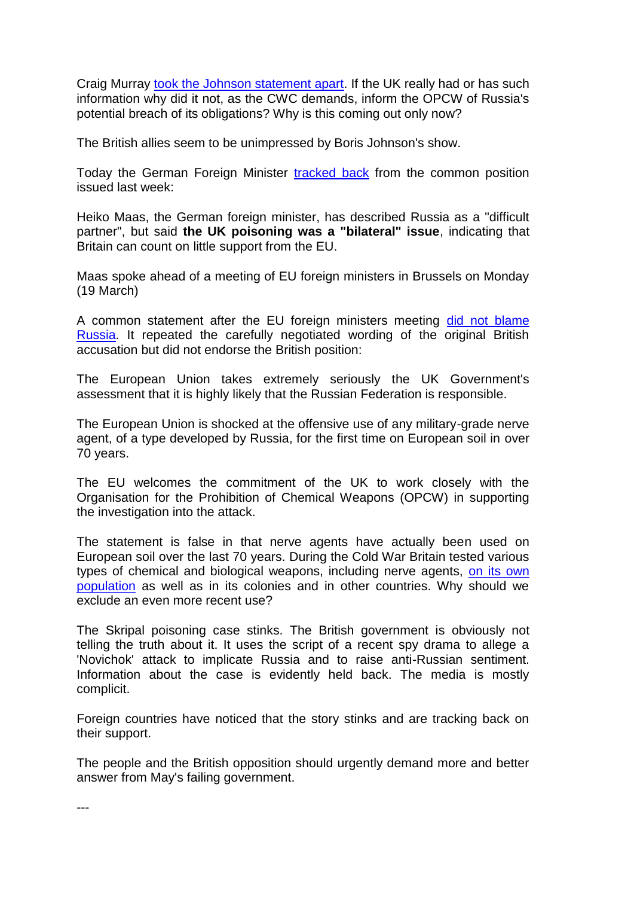Craig Murray [took the Johnson statement apart.](https://www.craigmurray.org.uk/archives/2018/03/boris-johnson-issues-completely-new-story-on-russian-novichoks/) If the UK really had or has such information why did it not, as the CWC demands, inform the OPCW of Russia's potential breach of its obligations? Why is this coming out only now?

The British allies seem to be unimpressed by Boris Johnson's show.

Today the German Foreign Minister [tracked back](https://euobserver.com/foreign/141362) from the common position issued last week:

Heiko Maas, the German foreign minister, has described Russia as a "difficult partner", but said **the UK poisoning was a "bilateral" issue**, indicating that Britain can count on little support from the EU.

Maas spoke ahead of a meeting of EU foreign ministers in Brussels on Monday (19 March)

A common statement after the EU foreign ministers meeting [did not blame](http://www.consilium.europa.eu/en/press/press-releases/2018/03/19/statement-by-the-foreign-affairs-council-on-the-salisbury-attack/)  [Russia.](http://www.consilium.europa.eu/en/press/press-releases/2018/03/19/statement-by-the-foreign-affairs-council-on-the-salisbury-attack/) It repeated the carefully negotiated wording of the original British accusation but did not endorse the British position:

The European Union takes extremely seriously the UK Government's assessment that it is highly likely that the Russian Federation is responsible.

The European Union is shocked at the offensive use of any military-grade nerve agent, of a type developed by Russia, for the first time on European soil in over 70 years.

The EU welcomes the commitment of the UK to work closely with the Organisation for the Prohibition of Chemical Weapons (OPCW) in supporting the investigation into the attack.

The statement is false in that nerve agents have actually been used on European soil over the last 70 years. During the Cold War Britain tested various types of chemical and biological weapons, including nerve agents, [on its own](https://www.independent.co.uk/news/uk/politics/how-the-british-government-subjected-thousands-of-people-to-chemical-and-biological-warfare-trials-10376411.html)  [population](https://www.independent.co.uk/news/uk/politics/how-the-british-government-subjected-thousands-of-people-to-chemical-and-biological-warfare-trials-10376411.html) as well as in its colonies and in other countries. Why should we exclude an even more recent use?

The Skripal poisoning case stinks. The British government is obviously not telling the truth about it. It uses the script of a recent spy drama to allege a 'Novichok' attack to implicate Russia and to raise anti-Russian sentiment. Information about the case is evidently held back. The media is mostly complicit.

Foreign countries have noticed that the story stinks and are tracking back on their support.

The people and the British opposition should urgently demand more and better answer from May's failing government.

---